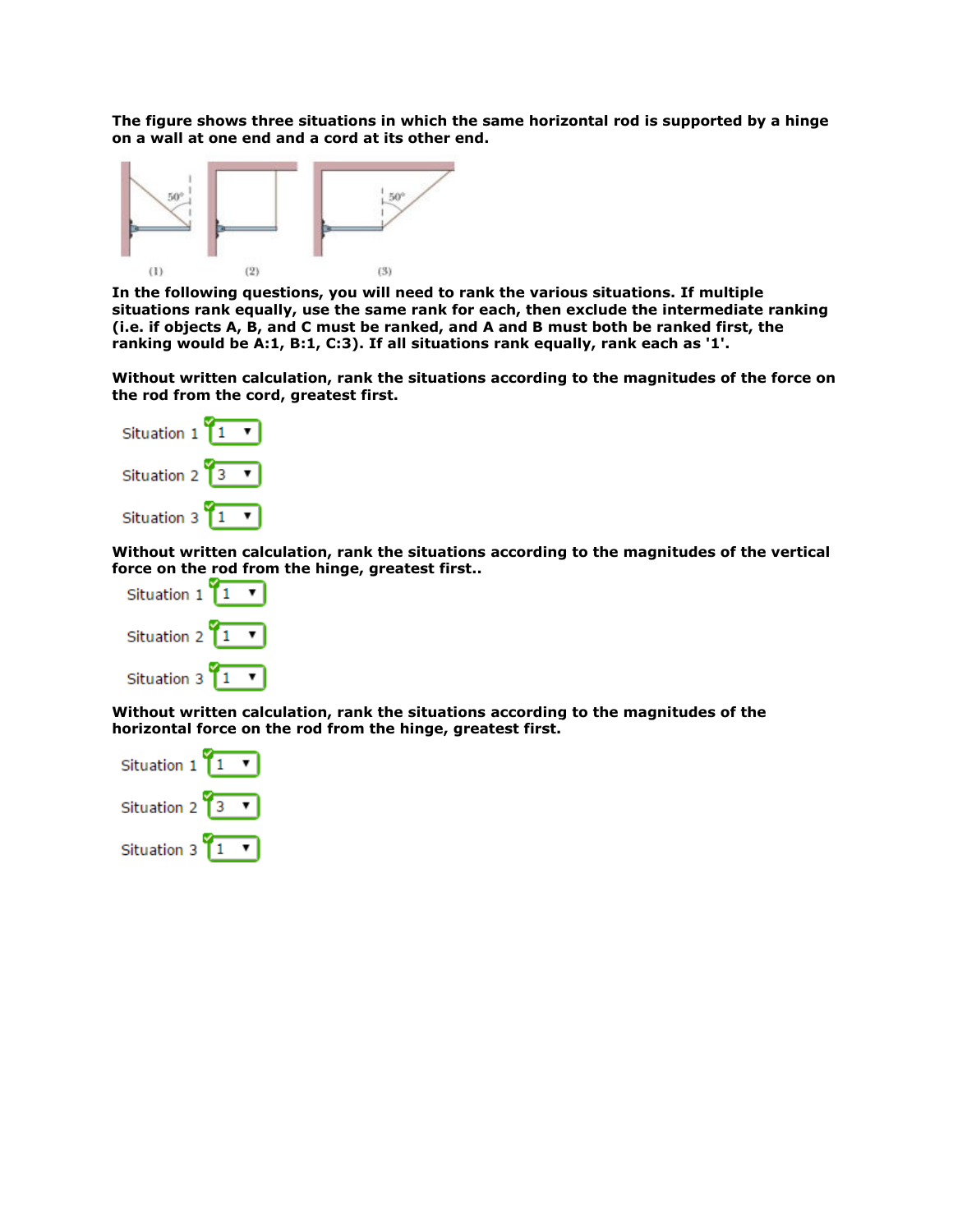**The figure shows three situations in which the same horizontal rod is supported by a hinge on a wall at one end and a cord at its other end.** 



**In the following questions, you will need to rank the various situations. If multiple situations rank equally, use the same rank for each, then exclude the intermediate ranking (i.e. if objects A, B, and C must be ranked, and A and B must both be ranked first, the ranking would be A:1, B:1, C:3). If all situations rank equally, rank each as '1'.** 

**Without written calculation, rank the situations according to the magnitudes of the force on the rod from the cord, greatest first.** 



**Without written calculation, rank the situations according to the magnitudes of the vertical force on the rod from the hinge, greatest first..**



**Without written calculation, rank the situations according to the magnitudes of the horizontal force on the rod from the hinge, greatest first.** 

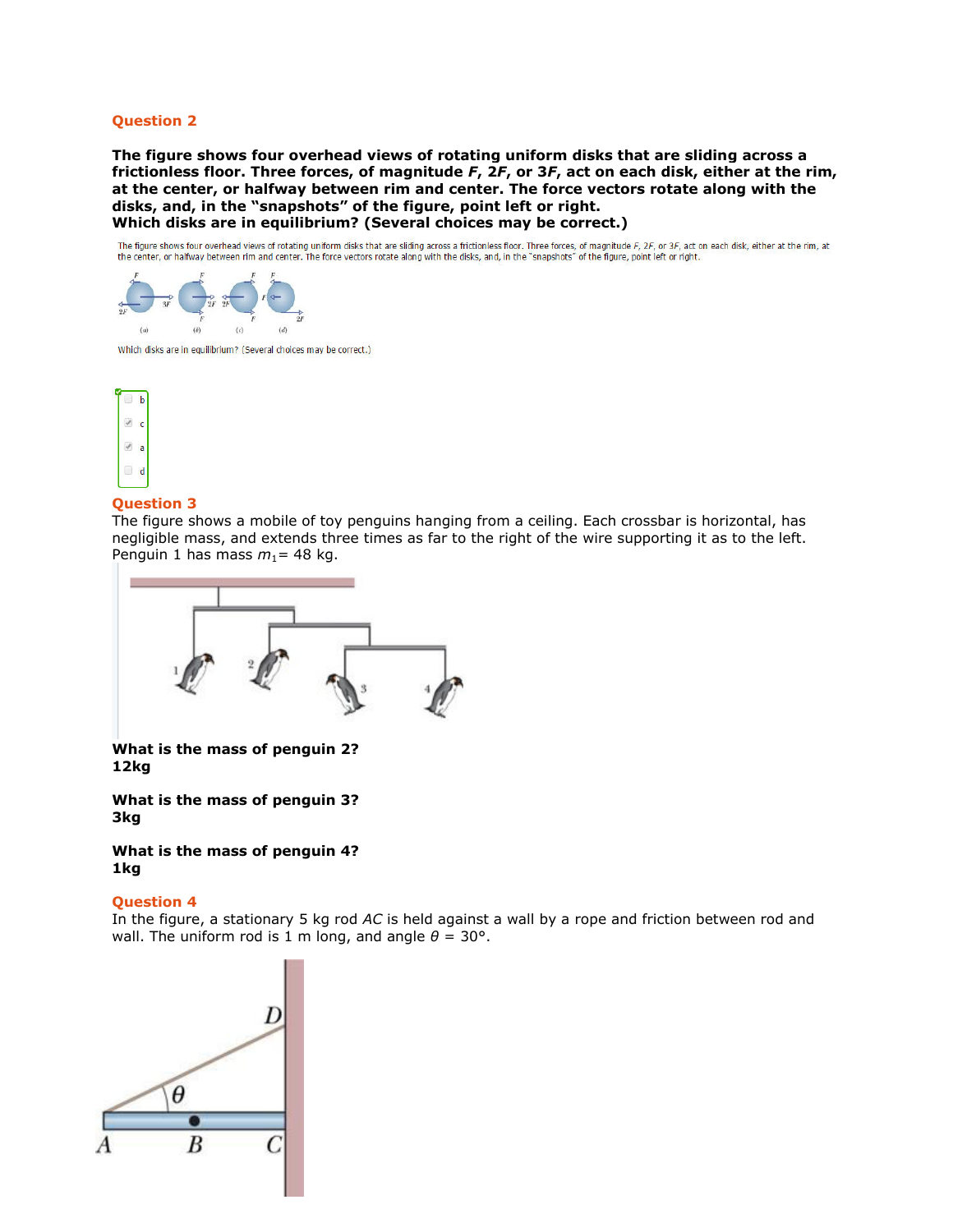## **Question 2**

**The figure shows four overhead views of rotating uniform disks that are sliding across a frictionless floor. Three forces, of magnitude** *F***, 2***F***, or 3***F***, act on each disk, either at the rim, at the center, or halfway between rim and center. The force vectors rotate along with the disks, and, in the "snapshots" of the figure, point left or right. Which disks are in equilibrium? (Several choices may be correct.)**

The figure shows four overhead views of rotating uniform disks that are sliding across a frictionless floor. Three forces, of magnitude F, 2F, or 3F, act on each disk, either at the rim, at the center, or halfway between rim and center. The force vectors rotate along with the disks, and, in the "snapshots" of the figure, point left or right.



Which disks are in equilibrium? (Several choices may be correct.)



## **Question 3**

The figure shows a mobile of toy penguins hanging from a ceiling. Each crossbar is horizontal, has negligible mass, and extends three times as far to the right of the wire supporting it as to the left. Penguin 1 has mass  $m_1$ = 48 kg.



**What is the mass of penguin 2? 12kg**

**What is the mass of penguin 3? 3kg**

**What is the mass of penguin 4? 1kg**

## **Question 4**

In the figure, a stationary 5 kg rod *AC* is held against a wall by a rope and friction between rod and wall. The uniform rod is 1 m long, and angle  $\theta = 30^{\circ}$ .